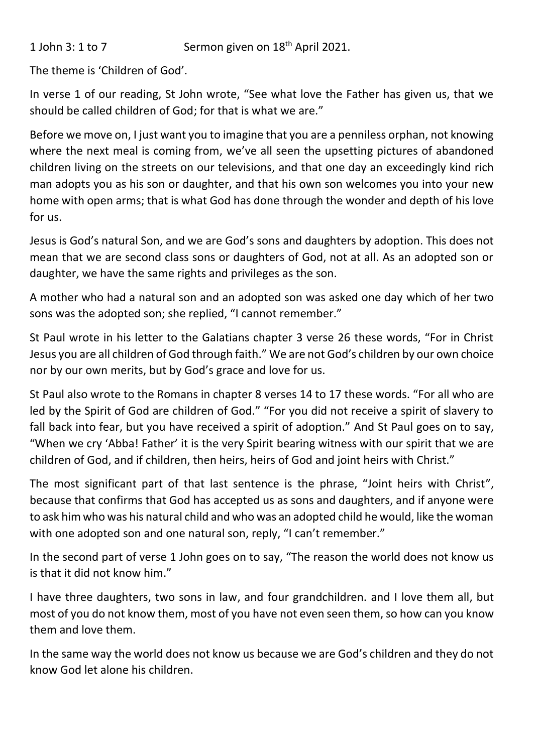1 John 3: 1 to 7 Sermon given on  $18<sup>th</sup>$  April 2021.

The theme is 'Children of God'.

In verse 1 of our reading, St John wrote, "See what love the Father has given us, that we should be called children of God; for that is what we are."

Before we move on, I just want you to imagine that you are a penniless orphan, not knowing where the next meal is coming from, we've all seen the upsetting pictures of abandoned children living on the streets on our televisions, and that one day an exceedingly kind rich man adopts you as his son or daughter, and that his own son welcomes you into your new home with open arms; that is what God has done through the wonder and depth of his love for us.

Jesus is God's natural Son, and we are God's sons and daughters by adoption. This does not mean that we are second class sons or daughters of God, not at all. As an adopted son or daughter, we have the same rights and privileges as the son.

A mother who had a natural son and an adopted son was asked one day which of her two sons was the adopted son; she replied, "I cannot remember."

St Paul wrote in his letter to the Galatians chapter 3 verse 26 these words, "For in Christ Jesus you are all children of God through faith." We are not God's children by our own choice nor by our own merits, but by God's grace and love for us.

St Paul also wrote to the Romans in chapter 8 verses 14 to 17 these words. "For all who are led by the Spirit of God are children of God." "For you did not receive a spirit of slavery to fall back into fear, but you have received a spirit of adoption." And St Paul goes on to say, "When we cry 'Abba! Father' it is the very Spirit bearing witness with our spirit that we are children of God, and if children, then heirs, heirs of God and joint heirs with Christ."

The most significant part of that last sentence is the phrase, "Joint heirs with Christ", because that confirms that God has accepted us as sons and daughters, and if anyone were to ask him who was his natural child and who was an adopted child he would, like the woman with one adopted son and one natural son, reply, "I can't remember."

In the second part of verse 1 John goes on to say, "The reason the world does not know us is that it did not know him."

I have three daughters, two sons in law, and four grandchildren. and I love them all, but most of you do not know them, most of you have not even seen them, so how can you know them and love them.

In the same way the world does not know us because we are God's children and they do not know God let alone his children.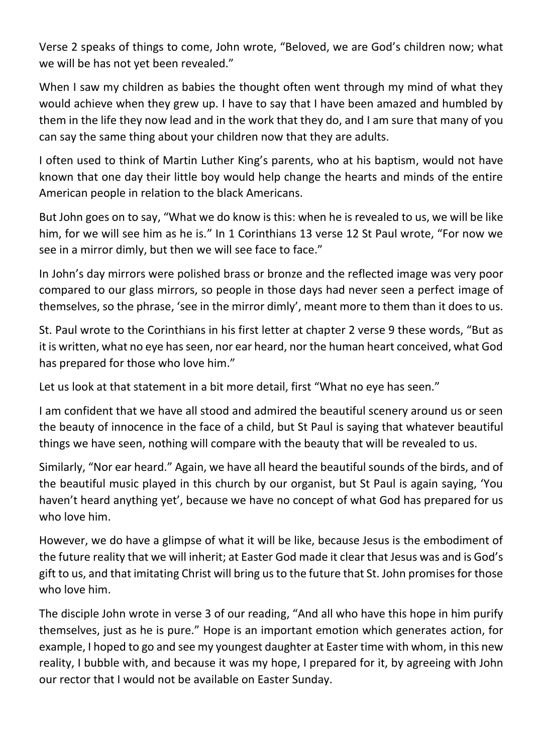Verse 2 speaks of things to come, John wrote, "Beloved, we are God's children now; what we will be has not yet been revealed."

When I saw my children as babies the thought often went through my mind of what they would achieve when they grew up. I have to say that I have been amazed and humbled by them in the life they now lead and in the work that they do, and I am sure that many of you can say the same thing about your children now that they are adults.

I often used to think of Martin Luther King's parents, who at his baptism, would not have known that one day their little boy would help change the hearts and minds of the entire American people in relation to the black Americans.

But John goes on to say, "What we do know is this: when he is revealed to us, we will be like him, for we will see him as he is." In 1 Corinthians 13 verse 12 St Paul wrote, "For now we see in a mirror dimly, but then we will see face to face."

In John's day mirrors were polished brass or bronze and the reflected image was very poor compared to our glass mirrors, so people in those days had never seen a perfect image of themselves, so the phrase, 'see in the mirror dimly', meant more to them than it does to us.

St. Paul wrote to the Corinthians in his first letter at chapter 2 verse 9 these words, "But as it is written, what no eye has seen, nor ear heard, nor the human heart conceived, what God has prepared for those who love him."

Let us look at that statement in a bit more detail, first "What no eye has seen."

I am confident that we have all stood and admired the beautiful scenery around us or seen the beauty of innocence in the face of a child, but St Paul is saying that whatever beautiful things we have seen, nothing will compare with the beauty that will be revealed to us.

Similarly, "Nor ear heard." Again, we have all heard the beautiful sounds of the birds, and of the beautiful music played in this church by our organist, but St Paul is again saying, 'You haven't heard anything yet', because we have no concept of what God has prepared for us who love him.

However, we do have a glimpse of what it will be like, because Jesus is the embodiment of the future reality that we will inherit; at Easter God made it clear that Jesus was and is God's gift to us, and that imitating Christ will bring us to the future that St. John promises for those who love him.

The disciple John wrote in verse 3 of our reading, "And all who have this hope in him purify themselves, just as he is pure." Hope is an important emotion which generates action, for example, I hoped to go and see my youngest daughter at Easter time with whom, in this new reality, I bubble with, and because it was my hope, I prepared for it, by agreeing with John our rector that I would not be available on Easter Sunday.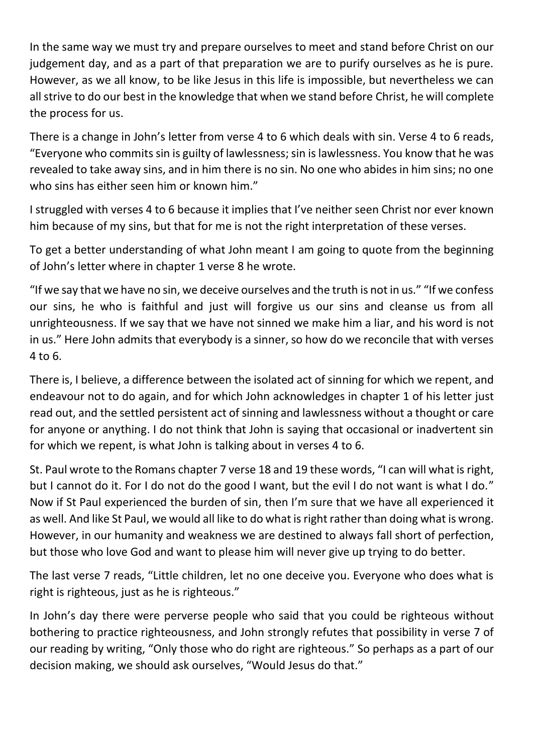In the same way we must try and prepare ourselves to meet and stand before Christ on our judgement day, and as a part of that preparation we are to purify ourselves as he is pure. However, as we all know, to be like Jesus in this life is impossible, but nevertheless we can all strive to do our best in the knowledge that when we stand before Christ, he will complete the process for us.

There is a change in John's letter from verse 4 to 6 which deals with sin. Verse 4 to 6 reads, "Everyone who commits sin is guilty of lawlessness; sin is lawlessness. You know that he was revealed to take away sins, and in him there is no sin. No one who abides in him sins; no one who sins has either seen him or known him."

I struggled with verses 4 to 6 because it implies that I've neither seen Christ nor ever known him because of my sins, but that for me is not the right interpretation of these verses.

To get a better understanding of what John meant I am going to quote from the beginning of John's letter where in chapter 1 verse 8 he wrote.

"If we say that we have no sin, we deceive ourselves and the truth is not in us." "If we confess our sins, he who is faithful and just will forgive us our sins and cleanse us from all unrighteousness. If we say that we have not sinned we make him a liar, and his word is not in us." Here John admits that everybody is a sinner, so how do we reconcile that with verses 4 to 6.

There is, I believe, a difference between the isolated act of sinning for which we repent, and endeavour not to do again, and for which John acknowledges in chapter 1 of his letter just read out, and the settled persistent act of sinning and lawlessness without a thought or care for anyone or anything. I do not think that John is saying that occasional or inadvertent sin for which we repent, is what John is talking about in verses 4 to 6.

St. Paul wrote to the Romans chapter 7 verse 18 and 19 these words, "I can will what is right, but I cannot do it. For I do not do the good I want, but the evil I do not want is what I do." Now if St Paul experienced the burden of sin, then I'm sure that we have all experienced it as well. And like St Paul, we would all like to do what is right rather than doing what is wrong. However, in our humanity and weakness we are destined to always fall short of perfection, but those who love God and want to please him will never give up trying to do better.

The last verse 7 reads, "Little children, let no one deceive you. Everyone who does what is right is righteous, just as he is righteous."

In John's day there were perverse people who said that you could be righteous without bothering to practice righteousness, and John strongly refutes that possibility in verse 7 of our reading by writing, "Only those who do right are righteous." So perhaps as a part of our decision making, we should ask ourselves, "Would Jesus do that."